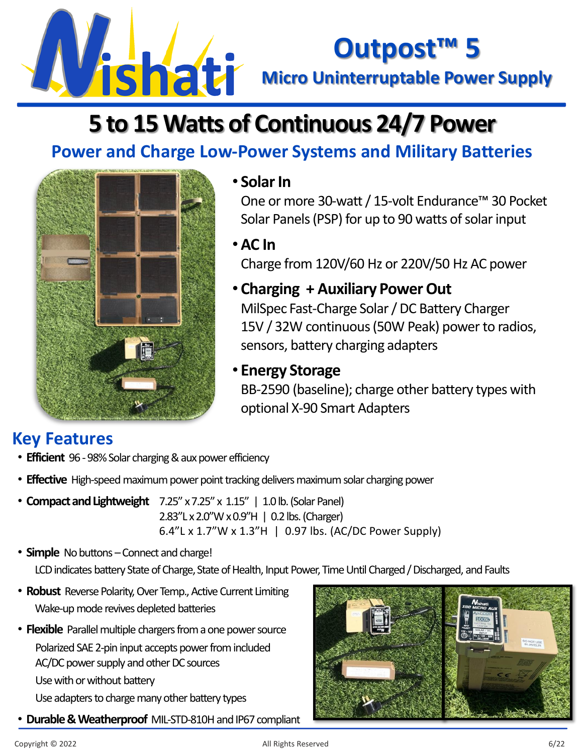

# **Outpost™ 5**

## **5 to 15 Watts of Continuous 24/7 Power**

## **Power and Charge Low-Power Systems and Military Batteries**



#### • **Solar In**

One or more 30-watt / 15-volt Endurance™ 30 Pocket Solar Panels (PSP) for up to 90 watts of solar input

•**AC In**  Charge from 120V/60 Hz or 220V/50 Hz AC power

• **Charging + Auxiliary Power Out** MilSpec Fast-Charge Solar / DC Battery Charger 15V / 32W continuous (50W Peak) power to radios, sensors, battery charging adapters

#### • **Energy Storage**

BB-2590 (baseline); charge other battery types with optional X-90 Smart Adapters

### **Key Features**

- **Efficient** 96 -98% Solar charging & aux power efficiency
- **Effective** High-speed maximum power point tracking delivers maximum solar charging power
- **Compact and Lightweight** 7.25" x 7.25" x 1.15" | 1.0 lb. (Solar Panel) 2.83"L x 2.0"W x 0.9"H | 0.2 lbs. (Charger) 6.4"L x 1.7"W x 1.3"H | 0.97 lbs. (AC/DC Power Supply)
- **Simple** No buttons Connect and charge! LCD indicates battery State of Charge, State of Health, Input Power, Time Until Charged / Discharged, and Faults
- **Robust** Reverse Polarity, Over Temp., Active Current Limiting Wake-up mode revives depleted batteries
- **Flexible** Parallel multiple chargers from a one power source Polarized SAE 2-pin input accepts power from included AC/DC power supply and other DC sources Use with or without battery Use adapters to charge many other battery types
- **Durable & Weatherproof** MIL-STD-810H and IP67 compliant